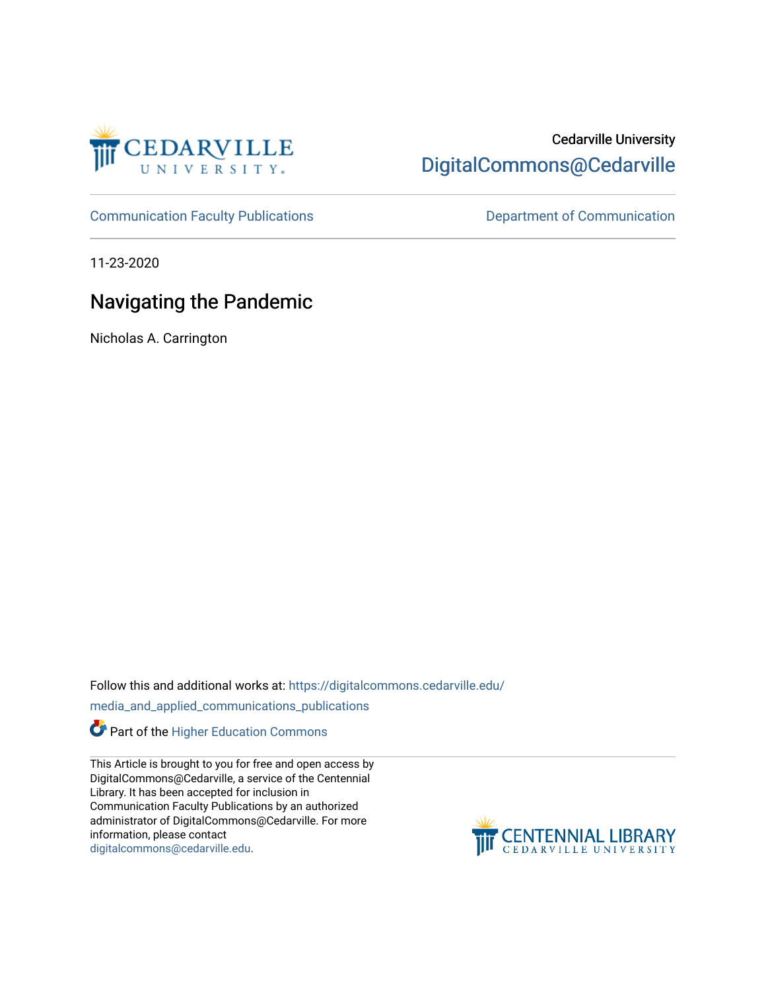

### Cedarville University [DigitalCommons@Cedarville](https://digitalcommons.cedarville.edu/)

[Communication Faculty Publications](https://digitalcommons.cedarville.edu/media_and_applied_communications_publications) **Department of Communication** 

11-23-2020

# Navigating the Pandemic

Nicholas A. Carrington

Follow this and additional works at: [https://digitalcommons.cedarville.edu/](https://digitalcommons.cedarville.edu/media_and_applied_communications_publications?utm_source=digitalcommons.cedarville.edu%2Fmedia_and_applied_communications_publications%2F77&utm_medium=PDF&utm_campaign=PDFCoverPages)

[media\\_and\\_applied\\_communications\\_publications](https://digitalcommons.cedarville.edu/media_and_applied_communications_publications?utm_source=digitalcommons.cedarville.edu%2Fmedia_and_applied_communications_publications%2F77&utm_medium=PDF&utm_campaign=PDFCoverPages) 

Part of the [Higher Education Commons](http://network.bepress.com/hgg/discipline/1245?utm_source=digitalcommons.cedarville.edu%2Fmedia_and_applied_communications_publications%2F77&utm_medium=PDF&utm_campaign=PDFCoverPages) 

This Article is brought to you for free and open access by DigitalCommons@Cedarville, a service of the Centennial Library. It has been accepted for inclusion in Communication Faculty Publications by an authorized administrator of DigitalCommons@Cedarville. For more information, please contact [digitalcommons@cedarville.edu](mailto:digitalcommons@cedarville.edu).

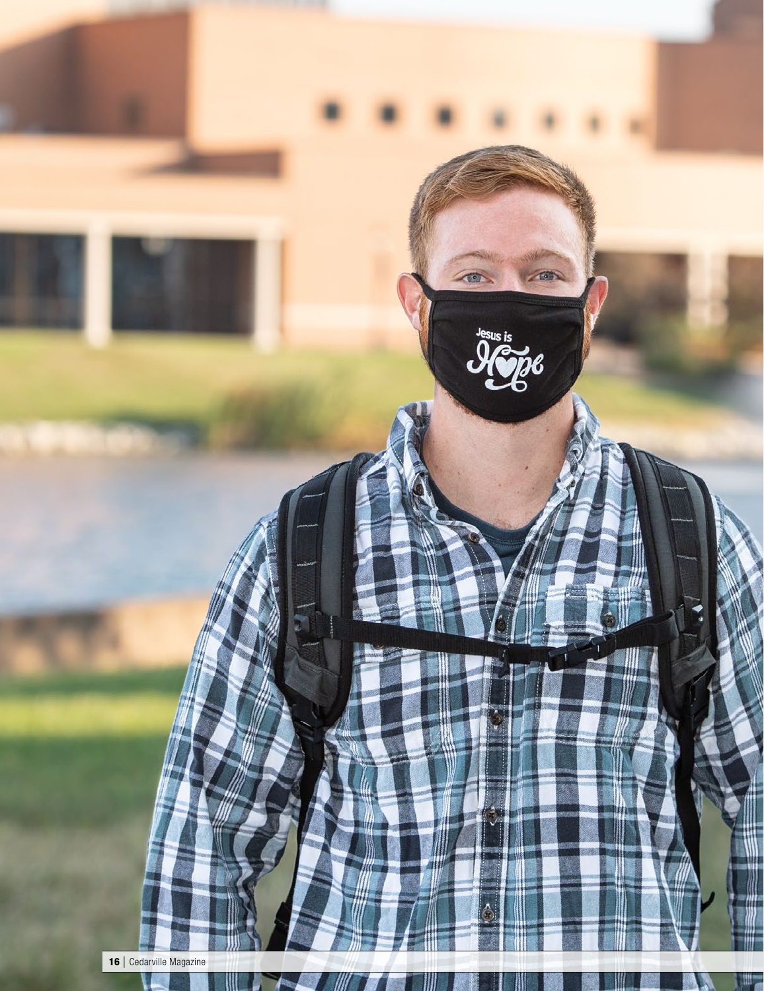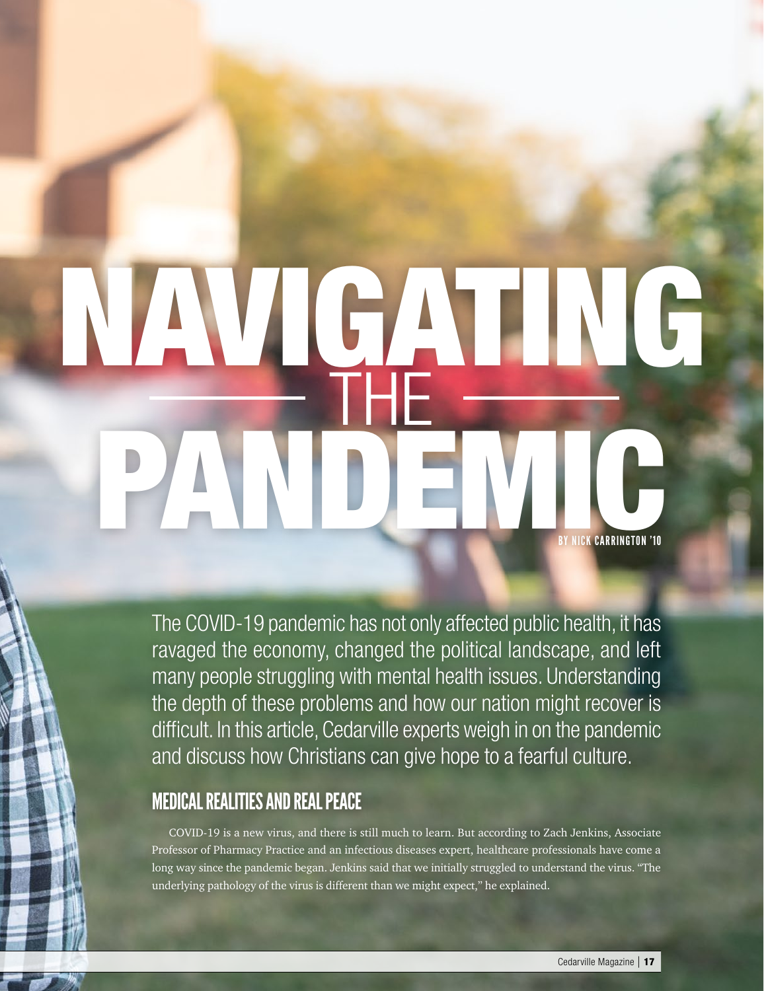BY NICK CARRINGTON '10 NAVIGATING THE PANDEMIC

> The COVID-19 pandemic has not only affected public health, it has ravaged the economy, changed the political landscape, and left many people struggling with mental health issues. Understanding the depth of these problems and how our nation might recover is difficult. In this article, Cedarville experts weigh in on the pandemic and discuss how Christians can give hope to a fearful culture.

### MEDICAL REALITIES AND REAL PEACE

COVID-19 is a new virus, and there is still much to learn. But according to Zach Jenkins, Associate Professor of Pharmacy Practice and an infectious diseases expert, healthcare professionals have come a long way since the pandemic began. Jenkins said that we initially struggled to understand the virus. "The underlying pathology of the virus is different than we might expect," he explained.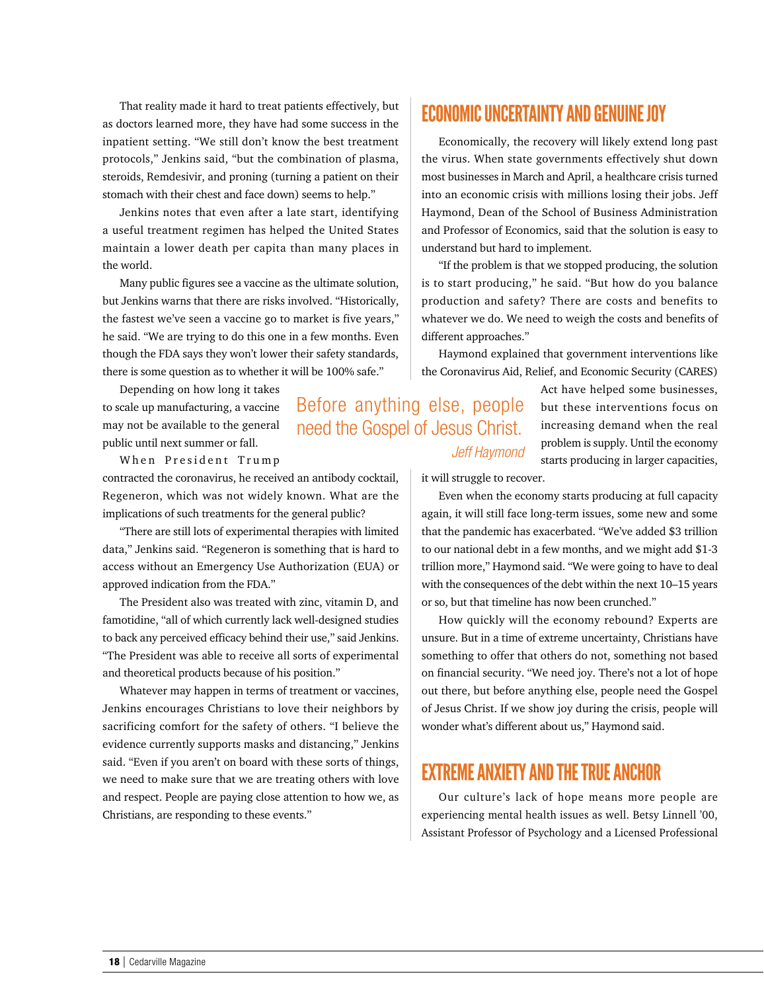That reality made it hard to treat patients effectively, but as doctors learned more, they have had some success in the inpatient setting. "We still don't know the best treatment protocols," Jenkins said, "but the combination of plasma, steroids, Remdesivir, and proning (turning a patient on their stomach with their chest and face down) seems to help."

Jenkins notes that even after a late start, identifying a useful treatment regimen has helped the United States maintain a lower death per capita than many places in the world.

Many public figures see a vaccine as the ultimate solution, but Jenkins warns that there are risks involved. "Historically, the fastest we've seen a vaccine go to market is five years," he said. "We are trying to do this one in a few months. Even though the FDA says they won't lower their safety standards, there is some question as to whether it will be 100% safe."

Depending on how long it takes to scale up manufacturing, a vaccine may not be available to the general public until next summer or fall.

When President Trump

contracted the coronavirus, he received an antibody cocktail, Regeneron, which was not widely known. What are the implications of such treatments for the general public?

"There are still lots of experimental therapies with limited data," Jenkins said. "Regeneron is something that is hard to access without an Emergency Use Authorization (EUA) or approved indication from the FDA."

The President also was treated with zinc, vitamin D, and famotidine, "all of which currently lack well-designed studies to back any perceived efficacy behind their use," said Jenkins. "The President was able to receive all sorts of experimental and theoretical products because of his position."

Whatever may happen in terms of treatment or vaccines, Jenkins encourages Christians to love their neighbors by sacrificing comfort for the safety of others. "I believe the evidence currently supports masks and distancing," Jenkins said. "Even if you aren't on board with these sorts of things, we need to make sure that we are treating others with love and respect. People are paying close attention to how we, as Christians, are responding to these events."

# ECONOMIC UNCERTAINTY AND GENUINE JOY

Economically, the recovery will likely extend long past the virus. When state governments effectively shut down most businesses in March and April, a healthcare crisis turned into an economic crisis with millions losing their jobs. Jeff Haymond, Dean of the School of Business Administration and Professor of Economics, said that the solution is easy to understand but hard to implement.

"If the problem is that we stopped producing, the solution is to start producing," he said. "But how do you balance production and safety? There are costs and benefits to whatever we do. We need to weigh the costs and benefits of different approaches."

Haymond explained that government interventions like the Coronavirus Aid, Relief, and Economic Security (CARES)

#### Before anything else, people need the Gospel of Jesus Christ. *Jeff Haymond*

Act have helped some businesses, but these interventions focus on increasing demand when the real problem is supply. Until the economy starts producing in larger capacities,

it will struggle to recover.

Even when the economy starts producing at full capacity again, it will still face long-term issues, some new and some that the pandemic has exacerbated. "We've added \$3 trillion to our national debt in a few months, and we might add \$1-3 trillion more," Haymond said. "We were going to have to deal with the consequences of the debt within the next 10–15 years or so, but that timeline has now been crunched."

How quickly will the economy rebound? Experts are unsure. But in a time of extreme uncertainty, Christians have something to offer that others do not, something not based on financial security. "We need joy. There's not a lot of hope out there, but before anything else, people need the Gospel of Jesus Christ. If we show joy during the crisis, people will wonder what's different about us," Haymond said.

## EXTREME ANXIETY AND THE TRUE ANCHOR

Our culture's lack of hope means more people are experiencing mental health issues as well. Betsy Linnell '00, Assistant Professor of Psychology and a Licensed Professional